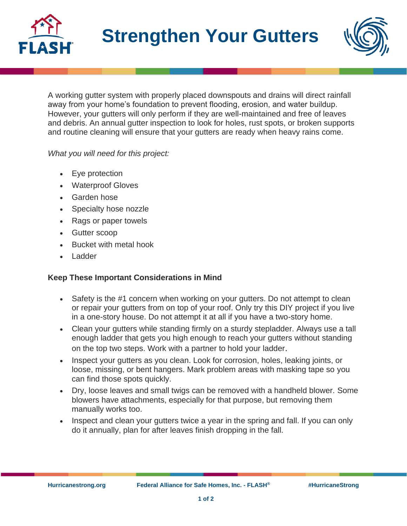



A working gutter system with properly placed downspouts and drains will direct rainfall away from your home's foundation to prevent flooding, erosion, and water buildup. However, your gutters will only perform if they are well-maintained and free of leaves and debris. An annual gutter inspection to look for holes, rust spots, or broken supports and routine cleaning will ensure that your gutters are ready when heavy rains come.

## *What you will need for this project:*

- Eye protection
- Waterproof Gloves
- Garden hose
- Specialty hose nozzle
- Rags or paper towels
- Gutter scoop
- Bucket with metal hook
- **Ladder**

## **Keep These Important Considerations in Mind**

- Safety is the #1 concern when working on your gutters. Do not attempt to clean or repair your gutters from on top of your roof. Only try this DIY project if you live in a one-story house. Do not attempt it at all if you have a two-story home.
- Clean your gutters while standing firmly on a sturdy stepladder. Always use a tall enough ladder that gets you high enough to reach your gutters without standing on the top two steps. Work with a partner to hold your ladder.
- Inspect your gutters as you clean. Look for corrosion, holes, leaking joints, or loose, missing, or bent hangers. Mark problem areas with masking tape so you can find those spots quickly.
- Dry, loose leaves and small twigs can be removed with a handheld blower. Some blowers have attachments, especially for that purpose, but removing them manually works too.
- Inspect and clean your gutters twice a year in the spring and fall. If you can only do it annually, plan for after leaves finish dropping in the fall.